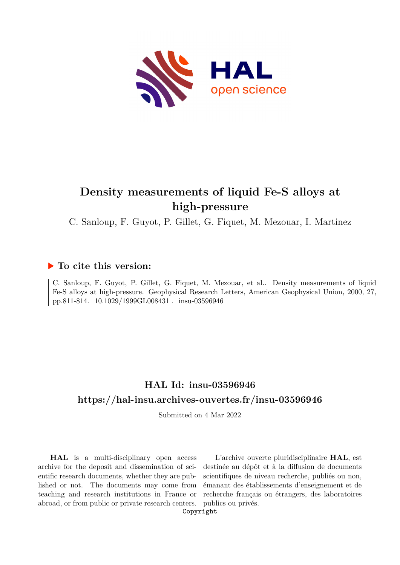

# **Density measurements of liquid Fe-S alloys at high-pressure**

C. Sanloup, F. Guyot, P. Gillet, G. Fiquet, M. Mezouar, I. Martinez

### **To cite this version:**

C. Sanloup, F. Guyot, P. Gillet, G. Fiquet, M. Mezouar, et al.. Density measurements of liquid Fe-S alloys at high-pressure. Geophysical Research Letters, American Geophysical Union, 2000, 27, pp.811-814.  $10.1029/1999\text{G}L008431$ . insu-03596946

## **HAL Id: insu-03596946 <https://hal-insu.archives-ouvertes.fr/insu-03596946>**

Submitted on 4 Mar 2022

**HAL** is a multi-disciplinary open access archive for the deposit and dissemination of scientific research documents, whether they are published or not. The documents may come from teaching and research institutions in France or abroad, or from public or private research centers.

L'archive ouverte pluridisciplinaire **HAL**, est destinée au dépôt et à la diffusion de documents scientifiques de niveau recherche, publiés ou non, émanant des établissements d'enseignement et de recherche français ou étrangers, des laboratoires publics ou privés.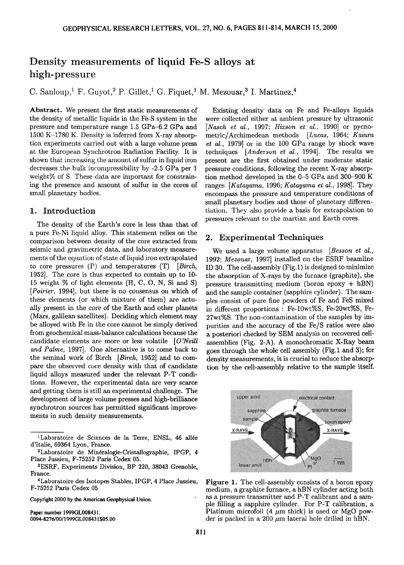## **Density measurements of liquid Fe-S alloys at high-pressure**

C. Sanloup,<sup>1</sup> F. Guyot,<sup>2</sup> P. Gillet,<sup>1</sup> G. Figuet,<sup>1</sup> M. Mezouar,<sup>3</sup> I. Martinez,<sup>4</sup>

Abstract. We present the first static measurements of **the density of metallic liquids in the Fe-S system in the pressure and temperature range 1.5 GPa-6.2 GPa and 1500 K-1780 K. Density is inferred from X-ray absorption experiments carried out with a large volume press at the Europeax• Sym:hrotron Radiation Facility. It is**  shown that increasing the amount of sulfur in liquid iron decreases the bulk incompressibility by -2.5 GPa per 1 weight% of S. These data are important for constrain**ing the presence and amount of sulfur in the cores of small planetary bodies.** 

#### **1. Introduction**

**The density of the Earth's core is less than that of a pure Fe-Ni liquid alloy. This statement relies on the comparison between density of the core extracted from seismic and gravimetric data, and laboratory measurements of the equation of state of liquid iron extrapolated to core pressures (P) and temperatures (T) [Birch, 1952]. The core is thus expected to contain up to 10- 15 weight % of light elements (H, C, O, N, Si and S) [Poirier, 1994], but there is no consensus on which of these elements (or which mixture of them) are actually present in the core of the Earth and other planets (Mars, galilean satellites). Deciding which element may be alloyed with Fe in the core cannot be simply derived**  from geochemical mass-balance calculations because the **candidate elements are more or less volatile [O'Neill and Palme, 1997]. One alternative is to come back to the seminal xvork of Birch [Birch, 1952] and to com**pare the observed core density with that of candidate **liquid alloys measured under the relevant P-T conditions. However, the experimental data are very scarce and getting them is still an experimental challenge. The development of large volume presses and high-brilliance synchrotron sources has permitted significant improvements in such density measurements.** 

**Copyright 2000 by the American Geophysical Union.** 

**Paper number 1999GL008431. 0094-8276/00/1999GL008431 \$05.00** 

**Existing density data on Fe and Fe-alloys liquids were collected either at ambient pressure by ultrasonic [Nasch et al., 1997; Hixson et al., 1990] or pycnometric/Archimedean methods [Lucas, 1964; Kaiura et al., 1979] or in the 100 GPa range by shock wave**  techniques [Anderson et al., 1994]. The results we **present are the first obtained under moderate static pressure conditions, following the recent X-ray absorption method developed in the 0-5 GPa and 300-900 K**  ranges [Katayama, 1996; Katayama et al., 1998]. They encompass the pressure and temperature conditions of **small planetary bodies and those of planetary differen**tiation. They also provide a basis for extrapolation to pressures relevant to the martian and Earth cores.

#### **2. Experimental Techniques**

**We used a large volume apparatus [Besson et al., 1992; Mezouar, 1997] installed on the ESRF beamline ID 30. The cell-assembly (Fig. l) is designed to minimize the absorption of X-rays by the furnace (graphite), the pressure transmitting medium (boron epoxy + hBN) and the sample container (sapphire cylinder). The samples consist of pure fine powders of Fe and FeS mixed in different proportions: Fe-10wt%S, Fe-20wt%S, Fe-27wt%S. The non-contamination of the samples by impurities and the accuracy of the Fe/S ratios were also**  a posteriori checked by SEM analysis on recovered cell**assemblies (Fig. 2-A). A monochromatic X-Ray beam goes through the whole cell assembly (Fig. 1 and 3); for density measurements, it is crucial to reduce the absorption by the cell-assembly relative to the sample itself.** 



**Figure 1. The cell-assembly consists of a boron epoxy medium, a graphite furnace, a hBN cylinder acting both as a pressure transmitter and P-T calibrant and a sample filling a sapphire cylinder. For P-T calibration, a**  Platinum microfoil (4  $\mu$ m thick) is used or MgO powder is packed in a 200  $\mu$ m lateral hole drilled in hBN.

<sup>&</sup>lt;sup>1</sup>Laboratoire de Sciences de la Terre, ENSL, 46 allée **d'Italie, 69364 Lyon, France.** 

<sup>&</sup>lt;sup>2</sup>Laboratoire de Minéralogie-Cristallographie, IPGP, 4 **Place Jussieu, F-75252 Paris Cedex 05.** 

**aESRF, Experiments Division, BP 220, 38043 Grenoble, France.** 

**<sup>4</sup>Laboratoire des Isotopes Stables, IPGP, 4 Place Jussieu, F-75252 Paris Cedex 05**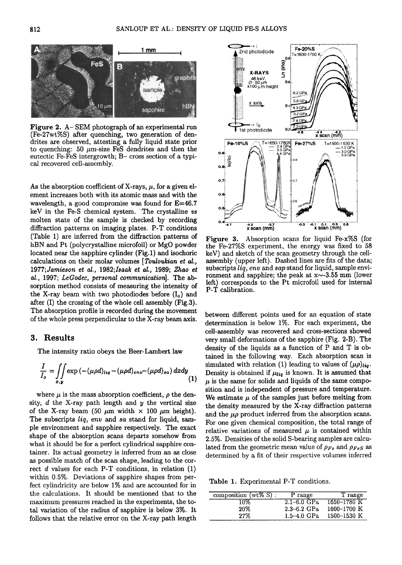

Figure 2. A-SEM photograph of an experimental run (Fe-27wt%S) after quenching, two generation of dendrites are observed, attesting a fully liquid state prior to quenching: 50  $\mu$ m-size FeS dendrites and then the eutectic Fe-FeS intergrowth; B- cross section of a typical recovered cell-assembly.

As the absorption coefficient of X-rays,  $\mu$ , for a given element increases both with its atomic mass and with the wavelength, a good compromise was found for  $E=46.7$ keV in the Fe-S chemical system. The crystalline vs molten state of the sample is checked by recording diffraction patterns on imaging plates. P-T conditions (Table 1) are inferred from the diffraction patterns of hBN and Pt (polycrystalline microfoil) or MgO powder located near the sapphire cylinder (Fig.1) and isochoric calculations on their molar volumes [Touloukian et al., 1977; Jamieson et al., 1982; Isaak et al., 1989; Zhao et al., 1997; LeGodec, personal communication]. The absorption method consists of measuring the intensity of the X-ray beam with two photodiodes before  $(I_0)$  and after (I) the crossing of the whole cell assembly (Fig.3). The absorption profile is recorded during the movement of the whole press perpendicular to the X-ray beam axis.

#### 3. Results

The intensity ratio obeys the Beer-Lambert law

$$
\frac{I}{I_o} = \iint\limits_{x,y} \exp\left(-(\mu \rho d)_{liq} - (\mu \rho d)_{env} - (\mu \rho d)_{sa}\right) dxdy \tag{1}
$$

where  $\mu$  is the mass absorption coefficient,  $\rho$  the density,  $d$  the X-ray path length and  $y$  the vertical size of the X-ray beam (50  $\mu$ m width  $\times$  100  $\mu$ m height). The subscripts liq, env and sa stand for liquid, sample environment and sapphire respectively. The exact shape of the absorption scans departs somehow from what it should be for a perfect cylindrical sapphire container. Its actual geometry is inferred from an as close as possible match of the scan shape, leading to the correct  $d$  values for each P-T conditions, in relation  $(1)$ within 0.5%. Deviations of sapphire shapes from perfect cylindricity are below 1% and are accounted for in the calculations. It should be mentioned that to the maximum pressures reached in the experiments, the total variation of the radius of sapphire is below 3%. It follows that the relative error on the X-ray path length



Absorption scans for liquid Fe-x%S (for Figure 3. the Fe-27%S experiment, the energy was fixed to 58 keV) and sketch of the scan geometry through the cellassembly (upper left). Dashed lines are fits of the data; subscripts liq, env and sap stand for liquid, sample environment and sapphire; the peak at  $x \sim 3.55$  mm (lower left) corresponds to the Pt microfoil used for internal P-T calibration.

between different points used for an equation of state determination is below 1%. For each experiment, the cell-assembly was recovered and cross-sections showed very small deformations of the sapphire (Fig. 2-B). The density of the liquids as a function of P and T is obtained in the following way. Each absorption scan is simulated with relation (1) leading to values of  $(\mu \rho)_{liq}$ . Density is obtained if  $\mu_{liq}$  is known. It is assumed that  $\mu$  is the same for solids and liquids of the same composition and is independent of pressure and temperature. We estimate  $\mu$  of the samples just before melting from the density measured by the X-ray diffraction patterns and the  $\mu\rho$  product inferred from the absorption scans. For one given chemical composition, the total range of relative variations of measured  $\mu$  is contained within 2.5%. Densities of the solid S-bearing samples are calculated from the geometric mean value of  $\rho_{Fe}$  and  $\rho_{Fe}$  as determined by a fit of their respective volumes inferred

Table 1. Experimental P-T conditions.

| composition $(wt\% S)$ : | P range         | T range     |
|--------------------------|-----------------|-------------|
| 10%                      | $2.1 - 6.0$ GPa | 1650-1780 K |
| 20%                      | $2.3 - 6.2$ GPa | 1600-1700 K |
| 27%                      | $1.5 - 4.0$ GPa | 1500-1530 K |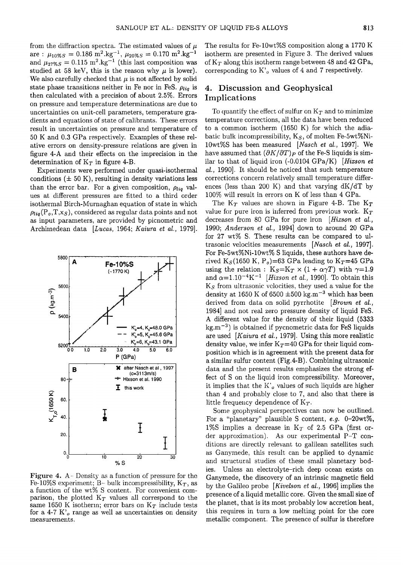from the diffraction spectra. The estimated values of  $\mu$  $\alpha$  are :  $\mu_{10\%S} = 0.186 \text{ m}^2.\text{kg}^{-1}, \mu_{20\%S} = 0.170 \text{ m}^2.\text{kg}^{-1}$ and  $\mu_{27\%S} = 0.115 \text{ m}^2.\text{kg}^{-1}$  (this last composition was studied at 58 keV, this is the reason why  $\mu$  is lower). We also carefully checked that  $\mu$  is not affected by solid state phase transitions neither in Fe nor in FeS.  $\rho_{liq}$  is **then calculated with a precision of about 2.5%. Errors on pressure and temperature determinations are due to uncertainties on unit-cell parameters, temperature gradients and equations of state of caiibrants. These errors result in uncertainties on pressure and temperature of 50 K and 0.3 GPa respectively. Examples of these relative errors on density-pressure relations are given in figure 4-A and their effects on the imprecision in the**  determination of  $K<sub>T</sub>$  in figure 4-B.

**Experiments were performed under quasi-isothermal**  conditions  $(\pm 50 \text{ K})$ , resulting in density variations less than the error bar. For a given composition,  $\rho_{liq}$  val**ues at different, pressures are fitted to a third order isothermal Birch-Murnaghan equation of state in which**   $\rho_{liq}(\mathbf{P}_o, \mathbf{T}, \mathbf{x}_s)$ , considered as regular data points and not **as input parameters, are provided by picnometric and Archimedean data [Lucas, 1964; Kaiura et al., 1979].** 

Fe-10%S experiment; B- bulk incompressibility,  $K_T$ , as **a function of the wt% S content. For convenient com**parison, the plotted  $K_T$  values all correspond to the same 1650 K isotherm; error bars on  $K_T$  include tests **for a 4-7 K'o range as well as uncertainties on density measurements.** 

**The results ibr Fe-10wt%S composition along a 1770 K isotherm are presented in Figure 3. The derived values of K•, along this isotherm range between 48 and 42 GPa,**  corresponding to K'<sub>o</sub> values of 4 and 7 respectively.

#### **4. Discussion and Geophysical Implications**

To quantify the effect of sulfur on  $K_T$  and to minimize temperature corrections, all the data have been reduced **to a common isotherm (1650 K) for which the adia**batic bulk incompressibility, K<sub>S</sub>, of molten Fe-5wt%Ni-**10wt%S has been measured [Nasch et al., 1997]. We**  have assumed that  $(\partial K/\partial T)_P$  of the Fe-S liquids is sim**ilar to that of liquid iron (-0.0104 GPa/K) [Hizson et al., 1990]. It should be noticed that such temperature corrections concern relatively small temperature differences (less than 200 K) and that varying dK/dT by 100% will result in errors on K of less than 4 GPa.** 

The  $K_T$  values are shown in Figure 4-B. The  $K_T$ value for pure iron is inferred from previous work.  $K_T$ decreases from 80 GPa for pure iron [Hixson et al., **1990; Anderson et al., 1994] down to around 20 GPa for 27 wt% S. These results can be compared to ultrasonic velocities measurements [Nasch et al., 1997]. For Fe-5wt%Ni-10wt% S liquids, these authors have de**rived  $K_S(1650 \text{ K}, \text{P}_o) = 63 \text{ GPa}$  leading to  $K_T = 45 \text{ GPa}$ using the relation:  $K_S=K_T \times (1 + \alpha \gamma T)$  with  $\gamma=1.9$ and  $\alpha=1.10^{-4}$ K<sup>-1</sup> [*Hixson et al.*, 1990]. To obtain this **Ks from ultrasonic velocities, they used a value for the**  density at 1650 K of  $6500 \pm 500$  kg.m<sup>-3</sup> which has been derived from data on solid pyrrhotite [Brown et al., **1984] and not real zero pressure density of liquid FeS. A different value for the density of their liquid (5333 kg.m -a) is obtained if pycnometric data for FeS liquids are used [Kaiura et al., 1979]. Using this more realistic**  density value, we infer  $K_T=40$  GPa for their liquid com**position which is in agreement with the present data for a similar sulfur content (Fig.4-B). Combining ultrasonic data and the present results emphasizes the strong fect of S on the liquid iron compressibility. Moreover,**  it implies that the K'<sub>o</sub> values of such liquids are higher **than 4 and probably close to 7, and also that there is**  little frequency dependence of  $K_T$ .

**Some geophysical perspectives can now be outlined. For a "planetary" plausible S content, e.g. 0-20wt%, 1%S implies a decrease in Kr of 2.5 GPa (first order approximation). As our experimental P-T conditions are directly relevant to galilean satellites such as Ganymede, this result can be applied to dynamic and structural studies of these small planetary bodies. Unless an electrolyte-rich deep ocean exists on Ganymede, the discovery of an intrinsic magnetic field by the Galileo probe [Kivelson et al., 1996] implies the presence of a liquid metallic core. Given the small size of the planet, that is its most probably low accretion heat, this requires in turn a low melting point for the core metallic component. The presence of sulfur is therefore**